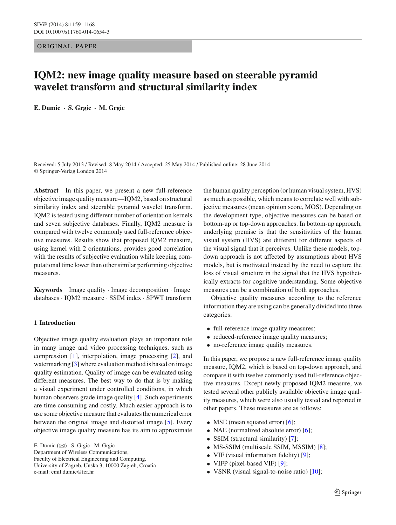ORIGINAL PAPER

# **IQM2: new image quality measure based on steerable pyramid wavelet transform and structural similarity index**

**E. Dumic · S. Grgic · M. Grgic**

Received: 5 July 2013 / Revised: 8 May 2014 / Accepted: 25 May 2014 / Published online: 28 June 2014 © Springer-Verlag London 2014

**Abstract** In this paper, we present a new full-reference objective image quality measure—IQM2, based on structural similarity index and steerable pyramid wavelet transform. IQM2 is tested using different number of orientation kernels and seven subjective databases. Finally, IQM2 measure is compared with twelve commonly used full-reference objective measures. Results show that proposed IQM2 measure, using kernel with 2 orientations, provides good correlation with the results of subjective evaluation while keeping computational time lower than other similar performing objective measures.

**Keywords** Image quality · Image decomposition · Image databases · IQM2 measure · SSIM index · SPWT transform

# **1 Introduction**

Objective image quality evaluation plays an important role in many image and video processing techniques, such as compression [\[1\]](#page-9-0), interpolation, image processing [\[2\]](#page-9-1), and watermarking [\[3](#page-9-2)] where evaluation method is based on image quality estimation. Quality of image can be evaluated using different measures. The best way to do that is by making a visual experiment under controlled conditions, in which human observers grade image quality [\[4](#page-9-3)]. Such experiments are time consuming and costly. Much easier approach is to use some objective measure that evaluates the numerical error between the original image and distorted image [\[5](#page-9-4)]. Every objective image quality measure has its aim to approximate

E. Dumic  $(\boxtimes) \cdot$  S. Grgic  $\cdot$  M. Grgic

Faculty of Electrical Engineering and Computing,

e-mail: emil.dumic@fer.hr

the human quality perception (or human visual system, HVS) as much as possible, which means to correlate well with subjective measures (mean opinion score, MOS). Depending on the development type, objective measures can be based on bottom-up or top-down approaches. In bottom-up approach, underlying premise is that the sensitivities of the human visual system (HVS) are different for different aspects of the visual signal that it perceives. Unlike these models, topdown approach is not affected by assumptions about HVS models, but is motivated instead by the need to capture the loss of visual structure in the signal that the HVS hypothetically extracts for cognitive understanding. Some objective measures can be a combination of both approaches.

Objective quality measures according to the reference information they are using can be generally divided into three categories:

- full-reference image quality measures;
- reduced-reference image quality measures;
- no-reference image quality measures.

In this paper, we propose a new full-reference image quality measure, IQM2, which is based on top-down approach, and compare it with twelve commonly used full-reference objective measures. Except newly proposed IQM2 measure, we tested several other publicly available objective image quality measures, which were also usually tested and reported in other papers. These measures are as follows:

- MSE (mean squared error) [\[6](#page-9-5)];
- NAE (normalized absolute error) [\[6\]](#page-9-5);
- SSIM (structural similarity) [\[7\]](#page-9-6);
- MS-SSIM (multiscale SSIM, MSSIM) [\[8\]](#page-9-7);
- VIF (visual information fidelity) [\[9](#page-9-8)];
- VIFP (pixel-based VIF) [\[9\]](#page-9-8);
- VSNR (visual signal-to-noise ratio) [\[10\]](#page-9-9);

Department of Wireless Communications,

University of Zagreb, Unska 3, 10000 Zagreb, Croatia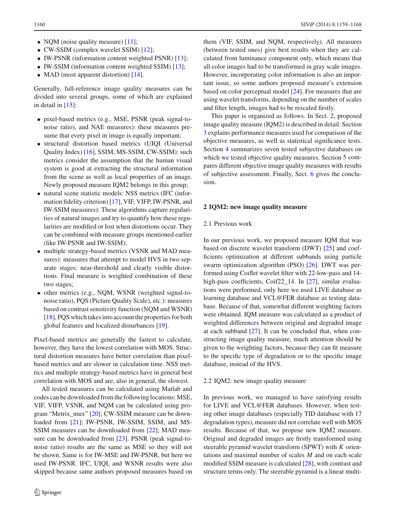- NQM (noise quality measure) [\[11](#page-9-10)];
- CW-SSIM (complex wavelet SSIM) [\[12\]](#page-9-11);
- IW-PSNR (information content weighted PSNR) [\[13](#page-9-12)];
- IW-SSIM (information content weighted SSIM) [\[13](#page-9-12)];
- MAD (most apparent distortion) [\[14\]](#page-9-13).

Generally, full-reference image quality measures can be divided into several groups, some of which are explained in detail in  $[15]$  $[15]$ :

- pixel-based metrics (e.g., MSE, PSNR (peak signal-tonoise ratio), and NAE measures): these measures presume that every pixel in image is equally important;
- structural distortion based metrics (UIQI (Universal Quality Index) [\[16](#page-9-15)], SSIM, MS-SSIM, CW-SSIM): such metrics consider the assumption that the human visual system is good at extracting the structural information from the scene as well as local properties of an image. Newly proposed measure IQM2 belongs in this group;
- natural scene statistic models: NSS metrics (IFC (information fidelity criterion) [\[17\]](#page-9-16), VIF, VIFP, IW-PSNR, and IW-SSIM measures): These algorithms capture regularities of natural images and try to quantify how these regularities are modified or lost when distortions occur. They can be combined with measure groups mentioned earlier (like IW-PSNR and IW-SSIM);
- multiple strategy-based metrics (VSNR and MAD measures): measures that attempt to model HVS in two separate stages: near-threshold and clearly visible distortions. Final measure is weighted combination of these two stages;
- other metrics (e.g., NQM, WSNR (weighted signal-tonoise ratio), PQS (Picture Quality Scale), etc.): measures based on contrast sensitivity function (NQM and WSNR) [\[18](#page-9-17)], PQS which takes into account the properties for both global features and localized disturbances [\[19](#page-9-18)].

Pixel-based metrics are generally the fastest to calculate, however, they have the lowest correlation with MOS. Structural distortion measures have better correlation than pixelbased metrics and are slower in calculation time. NSS metrics and multiple strategy-based metrics have in general best correlation with MOS and are, also in general, the slowest.

All tested measures can be calculated using Matlab and codes can be downloaded from the following locations: MSE, VIF, VIFP, VSNR, and NQM can be calculated using program "Metrix\_mux" [\[20](#page-9-19)]; CW-SSIM measure can be down-loaded from [\[21](#page-9-20)]; IW-PSNR, IW-SSIM, SSIM, and MS-SSIM measures can be downloaded from [\[22\]](#page-9-21); MAD mea-sure can be downloaded from [\[23](#page-9-22)]. PSNR (peak signal-tonoise ratio) results are the same as MSE so they will not be shown. Same is for IW-MSE and IW-PSNR, but here we used IW-PSNR. IFC, UIQI, and WSNR results were also skipped because same authors proposed measures based on them (VIF, SSIM, and NQM, respectively). All measures (between tested ones) give best results when they are calculated from luminance component only, which means that all color images had to be transformed in gray scale images. However, incorporating color information is also an important issue, so some authors proposed measure's extension based on color perceptual model [\[24\]](#page-9-23). For measures that are using wavelet transforms, depending on the number of scales and filter length, images had to be rescaled firstly.

This paper is organized as follows. In Sect. [2,](#page-1-0) proposed image quality measure (IQM2) is described in detail. Section [3](#page-3-0) explains performance measures used for comparison of the objective measures, as well as statistical significance tests. Section [4](#page-3-1) summarizes seven tested subjective databases on which we tested objective quality measures. Section [5](#page-4-0) compares different objective image quality measures with results of subjective assessment. Finally, Sect. [6](#page-8-0) gives the conclusion.

# <span id="page-1-0"></span>**2 IQM2: new image quality measure**

## 2.1 Previous work

In our previous work, we proposed measure IQM that was based on discrete wavelet transform (DWT) [\[25\]](#page-9-24) and coefficients optimization at different subbands using particle swarm optimization algorithm (PSO) [\[26](#page-9-25)]. DWT was performed using Coiflet wavelet filter with 22-low-pass and 14- high-pass coefficients, Coif22\_14. In [\[27](#page-9-26)], similar evaluations were performed, only here we used LIVE database as learning database and VCL@FER database as testing database. Because of that, somewhat different weighting factors were obtained. IQM measure was calculated as a product of weighted differences between original and degraded image at each subband [\[27](#page-9-26)]. It can be concluded that, when constructing image quality measure, much attention should be given to the weighting factors, because they can fit measure to the specific type of degradation or to the specific image database, instead of the HVS.

### 2.2 IQM2: new image quality measure

In previous work, we managed to have satisfying results for LIVE and VCL@FER databases. However, when testing other image databases (especially TID database with 17 degradation types), measure did not correlate well with MOS results. Because of that, we propose new IQM2 measure. Original and degraded images are firstly transformed using steerable pyramid wavelet transform (SPWT) with *K* orientations and maximal number of scales *M* and on each scale modified SSIM measure is calculated [\[28\]](#page-9-27), with contrast and structure terms only. The steerable pyramid is a linear multi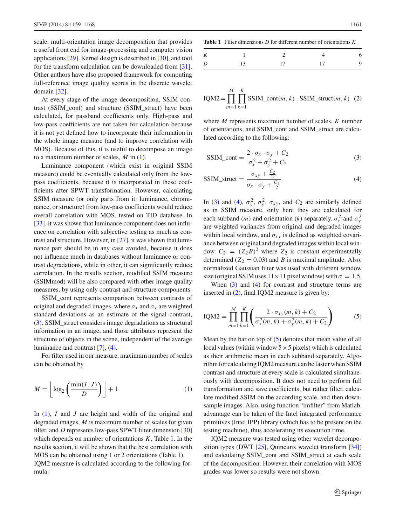scale, multi-orientation image decomposition that provides a useful front end for image-processing and computer vision applications [\[29](#page-9-28)]. Kernel design is described in [\[30\]](#page-9-29), and tool for the transform calculation can be downloaded from [\[31](#page-9-30)]. Other authors have also proposed framework for computing full-reference image quality scores in the discrete wavelet domain [\[32\]](#page-9-31).

At every stage of the image decomposition, SSIM contrast (SSIM\_cont) and structure (SSIM\_struct) have been calculated, for passband coefficients only. High-pass and low-pass coefficients are not taken for calculation because it is not yet defined how to incorporate their information in the whole image measure (and to improve correlation with MOS). Because of this, it is useful to decompose an image to a maximum number of scales, *M* in [\(1\)](#page-2-0).

Luminance component (which exist in original SSIM measure) could be eventually calculated only from the lowpass coefficients, because it is incorporated in these coefficients after SPWT transformation. However, calculating SSIM measure (or only parts from it: luminance, chrominance, or structure) from low-pass coefficients would reduce overall correlation with MOS, tested on TID database. In [\[33](#page-9-32)], it was shown that luminance component does not influence on correlation with subjective testing as much as contrast and structure. However, in [\[27\]](#page-9-26), it was shown that luminance part should be in any case avoided, because it does not influence much in databases without luminance or contrast degradations, while in other, it can significantly reduce correlation. In the results section, modified SSIM measure (SSIMmod) will be also compared with other image quality measures, by using only contrast and structure components.

SSIM\_cont represents comparison between contrasts of original and degraded images, where  $\sigma_x$  and  $\sigma_y$  are weighted standard deviations as an estimate of the signal contrast, [\(3\)](#page-2-1). SSIM\_struct considers image degradations as structural information in an image, and those attributes represent the structure of objects in the scene, independent of the average luminance and contrast [\[7](#page-9-6)], [\(4\)](#page-2-1).

For filter used in our measure, maximum number of scales can be obtained by

<span id="page-2-0"></span>
$$
M = \left\lfloor \log_2 \left( \frac{\min(I, J)}{D} \right) \right\rfloor + 1 \tag{1}
$$

In [\(1\)](#page-2-0), *I* and *J* are height and width of the original and degraded images, *M* is maximum number of scales for given filter, and *D* represents low-pass SPWT filter dimension [\[30\]](#page-9-29) which depends on number of orientations *K*, Table [1.](#page-2-2) In the results section, it will be shown that the best correlation with MOS can be obtained using 1 or 2 orientations (Table [1\)](#page-2-2). IQM2 measure is calculated according to the following formula:

<span id="page-2-2"></span>**Table 1** Filter dimensions *D* for different number of orientations *K*

| K |    |    |    | 6        |
|---|----|----|----|----------|
| D | 13 | 17 | 17 | $\Omega$ |

<span id="page-2-3"></span>
$$
IQM2 = \prod_{m=1}^{M} \prod_{k=1}^{K} SSIM_{cont}(m, k) \cdot SSIM_{struct}(m, k)
$$
 (2)

where *M* represents maximum number of scales, *K* number of orientations, and SSIM\_cont and SSIM\_struct are calculated according to the following:

<span id="page-2-1"></span>
$$
SSIM\_cont = \frac{2 \cdot \sigma_x \cdot \sigma_y + C_2}{\sigma_x^2 + \sigma_y^2 + C_2}
$$
 (3)

$$
SSIM\_struct = \frac{\sigma_{xy} + \frac{C_2}{2}}{\sigma_x \cdot \sigma_y + \frac{C_2}{2}}
$$
 (4)

In [\(3\)](#page-2-1) and [\(4\)](#page-2-1),  $\sigma_x^2$ ,  $\sigma_y^2$ ,  $\sigma_{xy}$ , and  $C_2$  are similarly defined as in SSIM measure, only here they are calculated for each subband (*m*) and orientation (*k*) separately.  $\sigma_x^2$  and  $\sigma_y^2$ are weighted variances from original and degraded images within local window, and  $\sigma_{xy}$  is defined as weighted covariance between original and degraded images within local window.  $C_2 = (Z_2 B)^2$  where  $Z_2$  is constant experimentally determined ( $Z_2 = 0.03$ ) and *B* is maximal amplitude. Also, normalized Gaussian filter was used with different window size (original SSIM uses  $11 \times 11$  pixel window) with  $\sigma = 1.5$ .

When [\(3\)](#page-2-1) and [\(4\)](#page-2-1) for contrast and structure terms are inserted in [\(2\)](#page-2-3), final IQM2 measure is given by:

<span id="page-2-4"></span>
$$
IQM2 = \prod_{m=1}^{M} \prod_{k=1}^{K} \overline{\left(\frac{2 \cdot \sigma_{xy}(m, k) + C_2}{\sigma_x^2(m, k) + \sigma_y^2(m, k) + C_2}\right)}
$$
(5)

Mean by the bar on top of [\(5\)](#page-2-4) denotes that mean value of all local values (within window  $5 \times 5$  pixels) which is calculated as their arithmetic mean in each subband separately. Algorithm for calculating IQM2 measure can be faster when SSIM contrast and structure at every scale is calculated simultaneously with decomposition. It does not need to perform full transformation and save coefficients, but rather filter, calculate modified SSIM on the according scale, and then downsample images. Also, using function "imfilter" from Matlab, advantage can be taken of the Intel integrated performance primitives (Intel IPP) library (which has to be present on the testing machine), thus accelerating its execution time.

IQM2 measure was tested using other wavelet decomposition types (DWT [\[25\]](#page-9-24), Quincunx wavelet transform [\[34\]](#page-9-33)) and calculating SSIM\_cont and SSIM\_struct at each scale of the decomposition. However, their correlation with MOS grades was lower so results were not shown.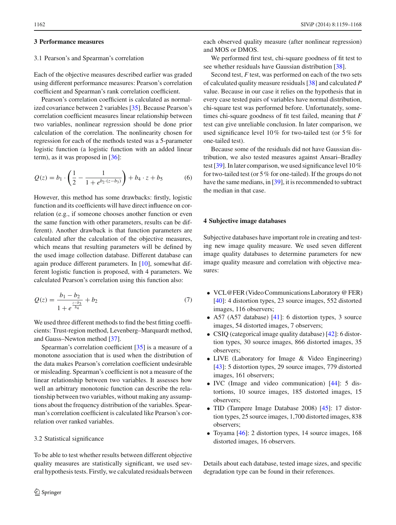#### <span id="page-3-0"></span>**3 Performance measures**

### 3.1 Pearson's and Spearman's correlation

Each of the objective measures described earlier was graded using different performance measures: Pearson's correlation coefficient and Spearman's rank correlation coefficient.

Pearson's correlation coefficient is calculated as normalized covariance between 2 variables [\[35\]](#page-9-34). Because Pearson's correlation coefficient measures linear relationship between two variables, nonlinear regression should be done prior calculation of the correlation. The nonlinearity chosen for regression for each of the methods tested was a 5-parameter logistic function (a logistic function with an added linear term), as it was proposed in [\[36\]](#page-9-35):

$$
Q(z) = b_1 \cdot \left(\frac{1}{2} - \frac{1}{1 + e^{b_2 \cdot (z - b_3)}}\right) + b_4 \cdot z + b_5 \tag{6}
$$

However, this method has some drawbacks: firstly, logistic function and its coefficients will have direct influence on correlation (e.g., if someone chooses another function or even the same function with other parameters, results can be different). Another drawback is that function parameters are calculated after the calculation of the objective measures, which means that resulting parameters will be defined by the used image collection database. Different database can again produce different parameters. In [\[10](#page-9-9)], somewhat different logistic function is proposed, with 4 parameters. We calculated Pearson's correlation using this function also:

$$
Q(z) = \frac{b_1 - b_2}{1 + e^{\frac{z - b_3}{b_4}}} + b_2
$$
\n(7)

We used three different methods to find the best fitting coefficients: Trust-region method, Levenberg–Marquardt method, and Gauss–Newton method [\[37\]](#page-9-36).

Spearman's correlation coefficient [\[35](#page-9-34)] is a measure of a monotone association that is used when the distribution of the data makes Pearson's correlation coefficient undesirable or misleading. Spearman's coefficient is not a measure of the linear relationship between two variables. It assesses how well an arbitrary monotonic function can describe the relationship between two variables, without making any assumptions about the frequency distribution of the variables. Spearman's correlation coefficient is calculated like Pearson's correlation over ranked variables.

#### 3.2 Statistical significance

To be able to test whether results between different objective quality measures are statistically significant, we used several hypothesis tests. Firstly, we calculated residuals between each observed quality measure (after nonlinear regression) and MOS or DMOS.

We performed first test, chi-square goodness of fit test to see whether residuals have Gaussian distribution [\[38](#page-9-37)].

Second test, *F* test, was performed on each of the two sets of calculated quality measure residuals [\[38](#page-9-37)] and calculated *P* value. Because in our case it relies on the hypothesis that in every case tested pairs of variables have normal distribution, chi-square test was performed before. Unfortunately, sometimes chi-square goodness of fit test failed, meaning that *F* test can give unreliable conclusion. In later comparison, we used significance level 10% for two-tailed test (or 5% for one-tailed test).

Because some of the residuals did not have Gaussian distribution, we also tested measures against Ansari–Bradley test [\[39\]](#page-9-38). In later comparison, we used significance level 10% for two-tailed test (or 5% for one-tailed). If the groups do not have the same medians, in [\[39](#page-9-38)], it is recommended to subtract the median in that case.

## <span id="page-3-1"></span>**4 Subjective image databases**

Subjective databases have important role in creating and testing new image quality measure. We used seven different image quality databases to determine parameters for new image quality measure and correlation with objective measures:

- VCL@FER (Video Communications Laboratory @ FER) [\[40](#page-9-39)]: 4 distortion types, 23 source images, 552 distorted images, 116 observers;
- A57 (A57 database) [\[41](#page-9-40)]: 6 distortion types, 3 source images, 54 distorted images, 7 observers;
- CSIQ (categorical image quality database) [\[42](#page-9-41)]: 6 distortion types, 30 source images, 866 distorted images, 35 observers;
- LIVE (Laboratory for Image & Video Engineering) [\[43](#page-9-42)]: 5 distortion types, 29 source images, 779 distorted images, 161 observers;
- IVC (Image and video communication) [\[44\]](#page-9-43): 5 distortions, 10 source images, 185 distorted images, 15 observers;
- TID (Tampere Image Database 2008) [\[45](#page-9-44)]: 17 distortion types, 25 source images, 1,700 distorted images, 838 observers;
- Toyama [\[46](#page-9-45)]: 2 distortion types, 14 source images, 168 distorted images, 16 observers.

Details about each database, tested image sizes, and specific degradation type can be found in their references.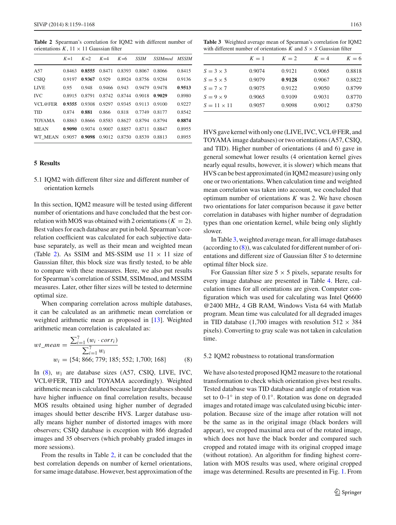<span id="page-4-1"></span>**Table 2** Spearman's correlation for IQM2 with different number of orientations  $K$ ,  $11 \times 11$  Gaussian filter

|               | $K=1$  | $K=2$  | $K=4$  | $K=6$  | <b>SSIM</b> | SSIM <sub>mod</sub> MSSIM |        |
|---------------|--------|--------|--------|--------|-------------|---------------------------|--------|
| A57           | 0.8463 | 0.8555 | 0.8471 | 0.8393 | 0.8067      | 0.8066                    | 0.8415 |
| <b>CSIO</b>   | 0.9197 | 0.9367 | 0.929  | 0.8924 | 0.8756      | 0.9284                    | 0.9136 |
| <b>LIVE</b>   | 0.95   | 0.948  | 0.9466 | 0.943  | 0.9479      | 0.9478                    | 0.9513 |
| <b>IVC</b>    | 0.8915 | 0.8791 | 0.8742 | 0.8744 | 0.9018      | 0.9029                    | 0.8980 |
| VCL@FER       | 0.9355 | 0.9308 | 0.9297 | 0.9345 | 0.9113      | 0.9100                    | 0.9227 |
| <b>TID</b>    | 0.874  | 0.881  | 0.866  | 0.818  | 0.7749      | 0.8177                    | 0.8542 |
| <b>TOYAMA</b> | 0.8863 | 0.8666 | 0.8583 | 0.8627 | 0.8794      | 0.8794                    | 0.8874 |
| <b>MEAN</b>   | 0.9090 | 0.9074 | 0.9007 | 0.8857 | 0.8711      | 0.8847                    | 0.8955 |
| WT MEAN       | 0.9057 | 0.9098 | 0.9012 | 0.8750 | 0.8539      | 0.8813                    | 0.8955 |

## <span id="page-4-0"></span>**5 Results**

5.1 IQM2 with different filter size and different number of orientation kernels

In this section, IQM2 measure will be tested using different number of orientations and have concluded that the best correlation with MOS was obtained with 2 orientations  $(K = 2)$ . Best values for each database are put in bold. Spearman's correlation coefficient was calculated for each subjective database separately, as well as their mean and weighted mean (Table [2\)](#page-4-1). As SSIM and MS-SSIM use  $11 \times 11$  size of Gaussian filter, this block size was firstly tested, to be able to compare with these measures. Here, we also put results for Spearman's correlation of SSIM, SSIMmod, and MSSIM measures. Later, other filter sizes will be tested to determine optimal size.

When comparing correlation across multiple databases, it can be calculated as an arithmetic mean correlation or weighted arithmetic mean as proposed in [\[13](#page-9-12)]. Weighted arithmetic mean correlation is calculated as:

<span id="page-4-2"></span>
$$
wt\_mean = \frac{\sum_{i=1}^{7} (w_i \cdot corr_i)}{\sum_{i=1}^{7} w_i}
$$
  

$$
w_i = \{54; 866; 779; 185; 552; 1,700; 168\}
$$
 (8)

In [\(8\)](#page-4-2), w*i* are database sizes (A57, CSIQ, LIVE, IVC, VCL@FER, TID and TOYAMA accordingly). Weighted arithmetic mean is calculated because larger databases should have higher influence on final correlation results, because MOS results obtained using higher number of degraded images should better describe HVS. Larger database usually means higher number of distorted images with more observers; CSIQ database is exception with 866 degraded images and 35 observers (which probably graded images in more sessions).

From the results in Table [2,](#page-4-1) it can be concluded that the best correlation depends on number of kernel orientations, for same image database. However, best approximation of the

<span id="page-4-3"></span>**Table 3** Weighted average mean of Spearman's correlation for IQM2 with different number of orientations  $K$  and  $S \times S$  Gaussian filter

|                    | $K=1$  | $K=2$  | $K=4$  | $K=6$  |
|--------------------|--------|--------|--------|--------|
| $S = 3 \times 3$   | 0.9074 | 0.9121 | 0.9065 | 0.8818 |
| $S = 5 \times 5$   | 0.9079 | 0.9128 | 0.9067 | 0.8822 |
| $S = 7 \times 7$   | 0.9075 | 0.9122 | 0.9050 | 0.8799 |
| $S = 9 \times 9$   | 0.9065 | 0.9109 | 0.9031 | 0.8770 |
| $S = 11 \times 11$ | 0.9057 | 0.9098 | 0.9012 | 0.8750 |

HVS gave kernel with only one (LIVE, IVC, VCL@FER, and TOYAMA image databases) or two orientations (A57, CSIQ, and TID). Higher number of orientations (4 and 6) gave in general somewhat lower results (4 orientation kernel gives nearly equal results, however, it is slower) which means that HVS can be best approximated (in IQM2 measure) using only one or two orientations. When calculation time and weighted mean correlation was taken into account, we concluded that optimum number of orientations *K* was 2. We have chosen two orientations for later comparison because it gave better correlation in databases with higher number of degradation types than one orientation kernel, while being only slightly slower.

In Table [3,](#page-4-3) weighted average mean, for all image databases (according to [\(8\)](#page-4-2)), was calculated for different number of orientations and different size of Gaussian filter *S* to determine optimal filter block size.

For Gaussian filter size  $5 \times 5$  pixels, separate results for every image database are presented in Table [4.](#page-5-0) Here, calculation times for all orientations are given. Computer configuration which was used for calculating was Intel Q6600 @2400 MHz, 4 GB RAM, Windows Vista 64 with Matlab program. Mean time was calculated for all degraded images in TID database (1,700 images with resolution  $512 \times 384$ pixels). Converting to gray scale was not taken in calculation time.

#### 5.2 IQM2 robustness to rotational transformation

We have also tested proposed IQM2 measure to the rotational transformation to check which orientation gives best results. Tested database was TID database and angle of rotation was set to 0–1◦ in step of 0.1◦. Rotation was done on degraded images and rotated image was calculated using bicubic interpolation. Because size of the image after rotation will not be the same as in the original image (black borders will appear), we cropped maximal area out of the rotated image, which does not have the black border and compared such cropped and rotated image with its original cropped image (without rotation). An algorithm for finding highest correlation with MOS results was used, where original cropped image was determined. Results are presented in Fig. [1.](#page-5-1) From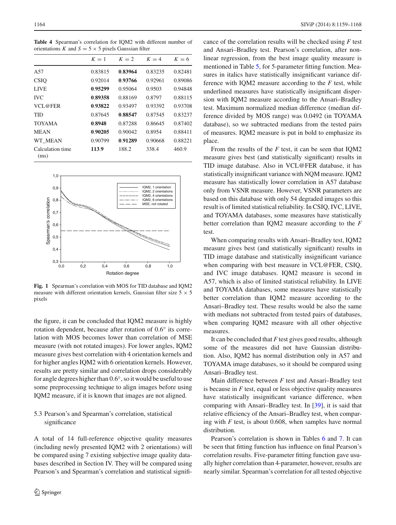<span id="page-5-0"></span>**Table 4** Spearman's correlation for IQM2 with different number of orientations *K* and  $S = 5 \times 5$  pixels Gaussian filter

|                          | $K=1$   | $K=2$   | $K=4$   | $K=6$   |
|--------------------------|---------|---------|---------|---------|
| A57                      | 0.83815 | 0.83964 | 0.83235 | 0.82481 |
| <b>CSIO</b>              | 0.92014 | 0.93766 | 0.92961 | 0.89086 |
| <b>LIVE</b>              | 0.95299 | 0.95064 | 0.9503  | 0.94848 |
| <b>IVC</b>               | 0.89358 | 0.88169 | 0.8797  | 0.88115 |
| VCL@FER                  | 0.93822 | 0.93497 | 0.93392 | 0.93708 |
| TID                      | 0.87645 | 0.88547 | 0.87545 | 0.83237 |
| <b>TOYAMA</b>            | 0.8948  | 0.87288 | 0.86645 | 0.87402 |
| <b>MEAN</b>              | 0.90205 | 0.90042 | 0.8954  | 0.88411 |
| WT MEAN                  | 0.90799 | 0.91289 | 0.90668 | 0.88221 |
| Calculation time<br>(ms) | 113.9   | 188.2   | 338.4   | 460.9   |



<span id="page-5-1"></span>**Fig. 1** Spearman's correlation with MOS for TID database and IQM2 measure with different orientation kernels, Gaussian filter size  $5 \times 5$ pixels

the figure, it can be concluded that IQM2 measure is highly rotation dependent, because after rotation of 0.6◦ its correlation with MOS becomes lower than correlation of MSE measure (with not rotated images). For lower angles, IQM2 measure gives best correlation with 4 orientation kernels and for higher angles IQM2 with 6 orientation kernels. However, results are pretty similar and correlation drops considerably for angle degrees higher than 0.6◦, so it would be useful to use some preprocessing technique to align images before using IQM2 measure, if it is known that images are not aligned.

# 5.3 Pearson's and Spearman's correlation, statistical significance

A total of 14 full-reference objective quality measures (including newly presented IQM2 with 2 orientations) will be compared using 7 existing subjective image quality databases described in Section IV. They will be compared using Pearson's and Spearman's correlation and statistical significance of the correlation results will be checked using *F* test and Ansari–Bradley test. Pearson's correlation, after nonlinear regression, from the best image quality measure is mentioned in Table [5,](#page-6-0) for 5-parameter fitting function. Measures in italics have statistically insignificant variance difference with IQM2 measure according to the *F* test, while underlined measures have statistically insignificant dispersion with IQM2 measure according to the Ansari–Bradley test. Maximum normalized median difference (median difference divided by MOS range) was 0.0492 (in TOYAMA database), so we subtracted medians from the tested pairs of measures. IQM2 measure is put in bold to emphasize its place.

From the results of the *F* test, it can be seen that IQM2 measure gives best (and statistically significant) results in TID image database. Also in VCL@FER database, it has statistically insignificant variance with NQM measure. IQM2 measure has statistically lower correlation in A57 database only from VSNR measure. However, VSNR parameters are based on this database with only 54 degraded images so this result is of limited statistical reliability. In CSIQ, IVC, LIVE, and TOYAMA databases, some measures have statistically better correlation than IQM2 measure according to the *F* test.

When comparing results with Ansari–Bradley test, IQM2 measure gives best (and statistically significant) results in TID image database and statistically insignificant variance when comparing with best measure in VCL@FER, CSIQ, and IVC image databases. IQM2 measure is second in A57, which is also of limited statistical reliability. In LIVE and TOYAMA databases, some measures have statistically better correlation than IQM2 measure according to the Ansari–Bradley test. These results would be also the same with medians not subtracted from tested pairs of databases, when comparing IQM2 measure with all other objective measures.

It can be concluded that *F* test gives good results, although some of the measures did not have Gaussian distribution. Also, IQM2 has normal distribution only in A57 and TOYAMA image databases, so it should be compared using Ansari–Bradley test.

Main difference between *F* test and Ansari–Bradley test is because in *F* test, equal or less objective quality measures have statistically insignificant variance difference, when comparing with Ansari–Bradley test. In [\[39\]](#page-9-38), it is said that relative efficiency of the Ansari–Bradley test, when comparing with *F* test, is about 0.608, when samples have normal distribution.

Pearson's correlation is shown in Tables [6](#page-6-1) and [7.](#page-6-2) It can be seen that fitting function has influence on final Pearson's correlation results. Five-parameter fitting function gave usually higher correlation than 4-parameter, however, results are nearly similar. Spearman's correlation for all tested objective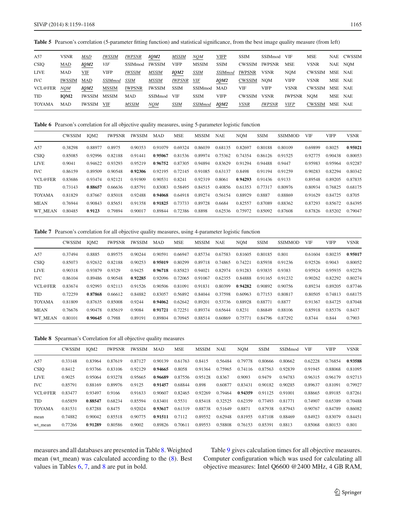**Table 5** Pearson's correlation (5-parameter fitting function) and statistical significance, from the best image quality measure (from left)

<span id="page-6-0"></span>

| A57           | <b>VSNR</b>      | MAD                | <b>IWSSIM</b>  | <i>IWPSNR</i>  | IQM2          | <b>MSSIM</b>  | NQM            | <b>VIFP</b>        | <b>SSIM</b>   | SSIMmod       | <b>VIF</b>  | <b>MSE</b>     |         | NAE CWSSIM |
|---------------|------------------|--------------------|----------------|----------------|---------------|---------------|----------------|--------------------|---------------|---------------|-------------|----------------|---------|------------|
| <b>CSIQ</b>   | <b>MAD</b>       | <i><b>IQM2</b></i> | <b>VIF</b>     | <b>SSIMmod</b> | <b>IWSSIM</b> | <b>VIFP</b>   | <b>MSSIM</b>   | <b>SSIM</b>        | <b>CWSSIM</b> | <b>IWPSNR</b> | <b>MSE</b>  | <b>VSNR</b>    |         | NAE NOM    |
| <b>LIVE</b>   | <b>MAD</b>       | VIF                | <b>VIFP</b>    | <i>IWSSIM</i>  | <b>MSSIM</b>  | IQM2          | <b>SSIM</b>    | <i>SSIMmod</i>     | IWPSNR        | <b>VSNR</b>   | <b>NOM</b>  | CWSSIM         | MSE NAE |            |
| IVC           | <b>IWSSIM</b>    | <b>MAD</b>         | <b>SSIMmod</b> | SSIM           | MSSIM         | <i>IWPSNR</i> | VIF            | <i><b>IQM2</b></i> | CWSSIM        | <b>NOM</b>    | <b>VIFP</b> | <b>VSNR</b>    | MSE NAE |            |
| VCL@FER       | <b>NOM</b>       | <b>IOM2</b>        | <b>MSSIM</b>   | <b>IWPSNR</b>  | <b>IWSSIM</b> | <b>SSIM</b>   | SSIMmod MAD    |                    | VIF           | <b>VIFP</b>   | <b>VSNR</b> | CWSSIM MSE NAE |         |            |
| <b>TID</b>    | IOM <sub>2</sub> | IWSSIM             | MSSIM          | <b>MAD</b>     | SSIMmod       | <b>VIF</b>    | <b>SSIM</b>    | <b>VIFP</b>        | <b>CWSSIM</b> | <b>VSNR</b>   | IWPSNR      | <b>NOM</b>     | MSE NAE |            |
| <b>TOYAMA</b> | MAD              | IWSSIM             | VIF            | <b>MSSIM</b>   | NQM           | <b>SSIM</b>   | <b>SSIMmod</b> | <i><b>IQM2</b></i> | <b>VSNR</b>   | <b>IWPSNR</b> | <b>VIFP</b> | CWSSIM         | MSE NAE |            |

**Table 6** Pearson's correlation for all objective quality measures, using 5-parameter logistic function

<span id="page-6-1"></span>

|               | <b>CWSSIM</b> | IOM <sub>2</sub> | <b>IWPSNR</b> | <b>IWSSIM</b> | <b>MAD</b> | <b>MSE</b> | <b>MSSIM</b> | <b>NAE</b> | <b>NOM</b> | <b>SSIM</b> | <b>SSIMMOD</b> | <b>VIF</b> | <b>VIFP</b> | <b>VSNR</b> |
|---------------|---------------|------------------|---------------|---------------|------------|------------|--------------|------------|------------|-------------|----------------|------------|-------------|-------------|
| A57           | 0.38298       | 0.88977          | 0.8975        | 0.90353       | 0.91079    | 0.69324    | 0.86039      | 0.68135    | 0.82697    | 0.80188     | 0.80109        | 0.69899    | 0.8025      | 0.95021     |
| <b>CSIQ</b>   | 0.85085       | 0.92996          | 0.82188       | 0.91441       | 0.95067    | 0.81536    | 0.89974      | 0.75362    | 0.74354    | 0.86126     | 0.91525        | 0.92775    | 0.90438     | 0.80053     |
| <b>LIVE</b>   | 0.9041        | 0.94622          | 0.93293       | 0.95219       | 0.96752    | 0.87305    | 0.94894      | 0.83629    | 0.91294    | 0.94488     | 0.9447         | 0.95983    | 0.95964     | 0.92287     |
| <b>IVC</b>    | 0.86159       | 0.89509          | 0.90548       | 0.92306       | 0.92195    | 0.72145    | 0.91085      | 0.63137    | 0.8498     | 0.91194     | 0.91259        | 0.90283    | 0.82294     | 0.80342     |
| VCL@FER       | 0.83686       | 0.93474          | 0.92121       | 0.91909       | 0.90531    | 0.8241     | 0.92319      | 0.8061     | 0.94293    | 0.91436     | 0.9133         | 0.89548    | 0.89205     | 0.87835     |
| <b>TID</b>    | 0.73143       | 0.88657          | 0.66636       | 0.85791       | 0.83083    | 0.58495    | 0.84515      | 0.40856    | 0.61353    | 0.77317     | 0.80976        | 0.80934    | 0.76825     | 0.68175     |
| <b>TOYAMA</b> | 0.81829       | 0.87667          | 0.85018       | 0.92488       | 0.94068    | 0.64918    | 0.89274      | 0.56154    | 0.88929    | 0.8887      | 0.88869        | 0.91629    | 0.84725     | 0.8705      |
| MEAN          | 0.76944       | 0.90843          | 0.85651       | 0.91358       | 0.91825    | 0.73733    | 0.89728      | 0.6684     | 0.82557    | 0.87089     | 0.88362        | 0.87293    | 0.85672     | 0.84395     |
| WT MEAN       | 0.80485       | 0.9123           | 0.79894       | 0.90017       | 0.89844    | 0.72386    | 0.8898       | 0.62536    | 0.75972    | 0.85092     | 0.87608        | 0.87826    | 0.85202     | 0.79047     |

<span id="page-6-2"></span>**Table 7** Pearson's correlation for all objective quality measures, using 4-parameter logistic function

|               | <b>CWSSIM</b> | IOM <sub>2</sub> | <b>IWPSNR</b> | <b>IWSSIM</b> | <b>MAD</b> | <b>MSE</b> | MSSIM   | <b>NAE</b> | <b>NOM</b> | <b>SSIM</b> | <b>SSIMMOD</b> | <b>VIF</b> | <b>VIFP</b> | <b>VSNR</b> |
|---------------|---------------|------------------|---------------|---------------|------------|------------|---------|------------|------------|-------------|----------------|------------|-------------|-------------|
| A57           | 0.37494       | 0.8885           | 0.89575       | 0.90244       | 0.90591    | 0.66947    | 0.85734 | 0.67583    | 0.81605    | 0.80185     | 0.801          | 0.61604    | 0.80235     | 0.95017     |
| <b>CSIQ</b>   | 0.85073       | 0.92632          | 0.82188       | 0.90253       | 0.95019    | 0.80299    | 0.89718 | 0.74865    | 0.74221    | 0.85938     | 0.91236        | 0.92526    | 0.9043      | 0.80052     |
| <b>LIVE</b>   | 0.90318       | 0.93879          | 0.9329        | 0.9425        | 0.96718    | 0.85823    | 0.94021 | 0.82974    | 0.91283    | 0.93835     | 0.9383         | 0.95924    | 0.95935     | 0.92276     |
| <b>IVC</b>    | 0.86104       | 0.89486          | 0.90548       | 0.92285       | 0.92096    | 0.72065    | 0.91067 | 0.62355    | 0.84888    | 0.91165     | 0.91232        | 0.90262    | 0.82292     | 0.80274     |
| VCL@FER       | 0.83674       | 0.92993          | 0.92113       | 0.91526       | 0.90506    | 0.81091    | 0.91831 | 0.80399    | 0.94282    | 0.90892     | 0.90756        | 0.89234    | 0.89205     | 0.87746     |
| <b>TID</b>    | 0.72259       | 0.87868          | 0.66612       | 0.84882       | 0.83057    | 0.56892    | 0.84044 | 0.37598    | 0.60963    | 0.77153     | 0.80817        | 0.80505    | 0.74813     | 0.68175     |
| <b>TOYAMA</b> | 0.81809       | 0.87635          | 0.85008       | 0.9244        | 0.94062    | 0.62642    | 0.89201 | 0.53736    | 0.88928    | 0.88771     | 0.8877         | 0.91367    | 0.84725     | 0.87048     |
| <b>MEAN</b>   | 0.76676       | 0.90478          | 0.85619       | 0.9084        | 0.91721    | 0.72251    | 0.89374 | 0.65644    | 0.8231     | 0.86849     | 0.88106        | 0.85918    | 0.85376     | 0.8437      |
| WT MEAN       | 0.80101       | 0.90645          | 0.7988        | 0.89191       | 0.89804    | 0.70945    | 0.88514 | 0.60869    | 0.75771    | 0.84796     | 0.87292        | 0.8744     | 0.844       | 0.7903      |

**Table 8** Spearman's Correlation for all objective quality measures

<span id="page-6-3"></span>

|               | <b>CWSSIM</b> | IOM <sub>2</sub> | <b>IWPSNR</b> | <b>IWSSIM</b> | <b>MAD</b> | <b>MSE</b> | <b>MSSIM</b> | <b>NAE</b> | <b>NOM</b> | <b>SSIM</b> | SSIMmod | <b>VIF</b> | <b>VIFP</b> | <b>VSNR</b> |
|---------------|---------------|------------------|---------------|---------------|------------|------------|--------------|------------|------------|-------------|---------|------------|-------------|-------------|
| A57           | 0.33148       | 0.83964          | 0.87619       | 0.87127       | 0.90139    | 0.61763    | 0.8415       | 0.56484    | 0.79778    | 0.80666     | 0.80662 | 0.62228    | 0.76854     | 0.93588     |
| <b>CSIQ</b>   | 0.8412        | 0.93766          | 0.83106       | 0.92129       | 0.94665    | 0.8058     | 0.91364      | 0.75965    | 0.74116    | 0.87563     | 0.92839 | 0.91945    | 0.88068     | 0.81095     |
| <b>LIVE</b>   | 0.9025        | 0.95064          | 0.93278       | 0.95665       | 0.96689    | 0.87556    | 0.95128      | 0.8367     | 0.9093     | 0.9479      | 0.94783 | 0.96315    | 0.96179     | 0.92713     |
| <b>IVC</b>    | 0.85791       | 0.88169          | 0.89976       | 0.9125        | 0.91457    | 0.68844    | 0.898        | 0.60877    | 0.83431    | 0.90182     | 0.90285 | 0.89637    | 0.81091     | 0.79927     |
| VCL@FER       | 0.83477       | 0.93497          | 0.9166        | 0.91633       | 0.90607    | 0.82465    | 0.92269      | 0.79464    | 0.94359    | 0.91125     | 0.91001 | 0.88665    | 0.89185     | 0.87261     |
| <b>TID</b>    | 0.65859       | 0.88547          | 0.68234       | 0.85594       | 0.83401    | 0.5531     | 0.85418      | 0.32525    | 0.62359    | 0.77493     | 0.81771 | 0.74907    | 0.65389     | 0.70488     |
| <b>TOYAMA</b> | 0.81531       | 0.87288          | 0.8475        | 0.92024       | 0.93617    | 0.61319    | 0.88738      | 0.51649    | 0.8871     | 0.87938     | 0.87943 | 0.90767    | 0.84789     | 0.86082     |
| mean          | 0.74882       | 0.90042          | 0.85518       | 0.90775       | 0.91511    | 0.7112     | 0.89552      | 0.62948    | 0.81955    | 0.87108     | 0.88469 | 0.84923    | 0.83079     | 0.84451     |
| wt mean       | 0.77266       | 0.91289          | 0.80586       | 0.9002        | 0.89826    | 0.70611    | 0.89553      | 0.58808    | 0.76153    | 0.85391     | 0.8813  | 0.85068    | 0.80153     | 0.801       |

measures and all databases are presented in Table [8.](#page-6-3)Weighted mean (wt\_mean) was calculated according to the [\(8\)](#page-4-2). Best values in Tables [6,](#page-6-1) [7,](#page-6-2) and [8](#page-6-3) are put in bold.

Table [9](#page-7-0) gives calculation times for all objective measures. Computer configuration which was used for calculating all objective measures: Intel Q6600 @2400 MHz, 4 GB RAM,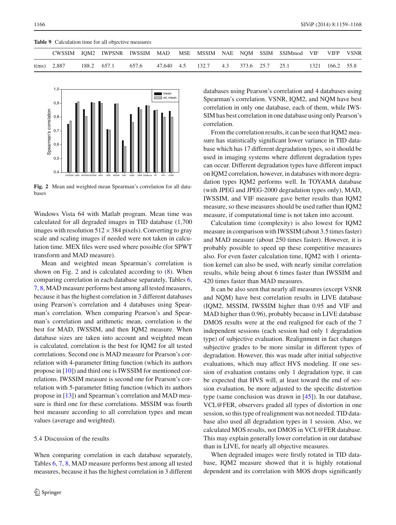|  | Table 9 Calculation time for all objective measures |  |  |  |  |
|--|-----------------------------------------------------|--|--|--|--|
|--|-----------------------------------------------------|--|--|--|--|

<span id="page-7-0"></span>

|                |             |       |            |       |                     | CWSSIM IOM2 IWPSNR IWSSIM MAD MSE MSSIM NAE NOM SSIM SSIMmod VIF VIFP VSNR |                 |  |
|----------------|-------------|-------|------------|-------|---------------------|----------------------------------------------------------------------------|-----------------|--|
| $t$ (ms) 2,887 | 188.2 657.1 | 657.6 | 47.640 4.5 | 132.7 | 4.3 373.6 25.7 25.1 |                                                                            | 1321 166.2 55.8 |  |



<span id="page-7-1"></span>**Fig. 2** Mean and weighted mean Spearman's correlation for all databases

Windows Vista 64 with Matlab program. Mean time was calculated for all degraded images in TID database (1,700 images with resolution  $512 \times 384$  pixels). Converting to gray scale and scaling images if needed were not taken in calculation time. MEX files were used where possible (for SPWT transform and MAD measure).

Mean and weighted mean Spearman's correlation is shown on Fig. [2](#page-7-1) and is calculated according to  $(8)$ . When comparing correlation in each database separately, Tables [6,](#page-6-1) [7,](#page-6-2) [8,](#page-6-3) MAD measure performs best among all tested measures, because it has the highest correlation in 3 different databases using Pearson's correlation and 4 databases using Spearman's correlation. When comparing Pearson's and Spearman's correlation and arithmetic mean, correlation is the best for MAD, IWSSIM, and then IQM2 measure. When database sizes are taken into account and weighted mean is calculated, correlation is the best for IQM2 for all tested correlations. Second one is MAD measure for Pearson's correlation with 4-parameter fitting function (which its authors propose in [\[10](#page-9-9)]) and third one is IWSSIM for mentioned correlations. IWSSIM measure is second one for Pearson's correlation with 5-parameter fitting function (which its authors propose in [\[13\]](#page-9-12)) and Spearman's correlation and MAD measure is third one for these correlations. MSSIM was fourth best measure according to all correlation types and mean values (average and weighted).

### 5.4 Discussion of the results

When comparing correlation in each database separately, Tables [6,](#page-6-1) [7,](#page-6-2) [8,](#page-6-3) MAD measure performs best among all tested measures, because it has the highest correlation in 3 different databases using Pearson's correlation and 4 databases using Spearman's correlation. VSNR, IQM2, and NQM have best correlation in only one database, each of them, while IWS-SIM has best correlation in one database using only Pearson's correlation.

From the correlation results, it can be seen that IQM2 measure has statistically significant lower variance in TID database which has 17 different degradation types, so it should be used in imaging systems where different degradation types can occur. Different degradation types have different impact on IQM2 correlation, however, in databases with more degradation types IQM2 performs well. In TOYAMA database (with JPEG and JPEG-2000 degradation types only), MAD, IWSSIM, and VIF measure gave better results than IQM2 measure, so these measures should be used rather than IQM2 measure, if computational time is not taken into account.

Calculation time (complexity) is also lowest for IQM2 measure in comparison with IWSSIM (about 3.5 times faster) and MAD measure (about 250 times faster). However, it is probably possible to speed up these competitive measures also. For even faster calculation time, IQM2 with 1 orientation kernel can also be used, with nearly similar correlation results, while being about 6 times faster than IWSSIM and 420 times faster than MAD measures.

It can be also seen that nearly all measures (except VSNR and NQM) have best correlation results in LIVE database (IQM2, MSSIM, IWSSIM higher than 0.95 and VIF and MAD higher than 0.96), probably because in LIVE database DMOS results were at the end realigned for each of the 7 independent sessions (each session had only 1 degradation type) of subjective evaluation. Realignment in fact changes subjective grades to be more similar in different types of degradation. However, this was made after initial subjective evaluations, which may affect HVS modeling. If one session of evaluation contains only 1 degradation type, it can be expected that HVS will, at least toward the end of session evaluation, be more adjusted to the specific distortion type (same conclusion was drawn in [\[45](#page-9-44)]). In our database, VCL@FER, observers graded all types of distortion in one session, so this type of realignment was not needed. TID database also used all degradation types in 1 session. Also, we calculated MOS results, not DMOS in VCL@FER database. This may explain generally lower correlation in our database than in LIVE, for nearly all objective measures.

When degraded images were firstly rotated in TID database, IQM2 measure showed that it is highly rotational dependent and its correlation with MOS drops significantly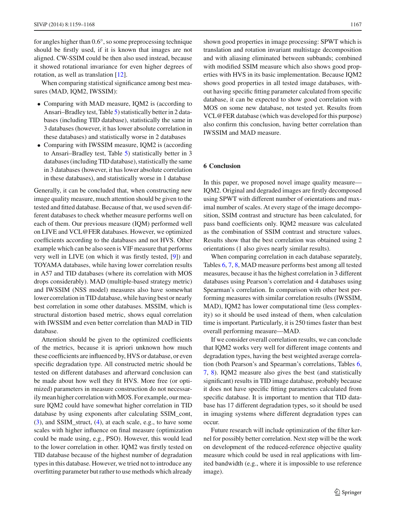for angles higher than 0.6◦, so some preprocessing technique should be firstly used, if it is known that images are not aligned. CW-SSIM could be then also used instead, because it showed rotational invariance for even higher degrees of rotation, as well as translation [\[12](#page-9-11)].

When comparing statistical significance among best measures (MAD, IQM2, IWSSIM):

- Comparing with MAD measure, IQM2 is (according to Ansari–Bradley test, Table [5\)](#page-6-0) statistically better in 2 databases (including TID database), statistically the same in 3 databases (however, it has lower absolute correlation in these databases) and statistically worse in 2 databases
- Comparing with IWSSIM measure, IQM2 is (according to Ansari–Bradley test, Table [5\)](#page-6-0) statistically better in 3 databases (including TID database), statistically the same in 3 databases (however, it has lower absolute correlation in these databases), and statistically worse in 1 database

Generally, it can be concluded that, when constructing new image quality measure, much attention should be given to the tested and fitted database. Because of that, we used seven different databases to check whether measure performs well on each of them. Our previous measure (IQM) performed well on LIVE and VCL@FER databases. However, we optimized coefficients according to the databases and not HVS. Other example which can be also seen is VIF measure that performs very well in LIVE (on which it was firstly tested, [\[9\]](#page-9-8)) and TOYAMA databases, while having lower correlation results in A57 and TID databases (where its correlation with MOS drops considerably). MAD (multiple-based strategy metric) and IWSSIM (NSS model) measures also have somewhat lower correlation in TID database, while having best or nearly best correlation in some other databases. MSSIM, which is structural distortion based metric, shows equal correlation with IWSSIM and even better correlation than MAD in TID database.

Attention should be given to the optimized coefficients of the metrics, because it is apriori unknown how much these coefficients are influenced by, HVS or database, or even specific degradation type. All constructed metric should be tested on different databases and afterward conclusion can be made about how well they fit HVS. More free (or optimized) parameters in measure construction do not necessarily mean higher correlation with MOS. For example, our measure IQM2 could have somewhat higher correlation in TID database by using exponents after calculating SSIM\_cont, [\(3\)](#page-2-1), and SSIM\_struct, [\(4\)](#page-2-1), at each scale, e.g., to have some scales with higher influence on final measure (optimization could be made using, e.g., PSO). However, this would lead to the lower correlation in other. IQM2 was firstly tested on TID database because of the highest number of degradation types in this database. However, we tried not to introduce any overfitting parameter but rather to use methods which already

shown good properties in image processing: SPWT which is translation and rotation invariant multistage decomposition and with aliasing eliminated between subbands; combined with modified SSIM measure which also shows good properties with HVS in its basic implementation. Because IQM2 shows good properties in all tested image databases, without having specific fitting parameter calculated from specific database, it can be expected to show good correlation with MOS on some new database, not tested yet. Results from VCL@FER database (which was developed for this purpose) also confirm this conclusion, having better correlation than IWSSIM and MAD measure.

## <span id="page-8-0"></span>**6 Conclusion**

In this paper, we proposed novel image quality measure— IQM2. Original and degraded images are firstly decomposed using SPWT with different number of orientations and maximal number of scales. At every stage of the image decomposition, SSIM contrast and structure has been calculated, for pass band coefficients only. IQM2 measure was calculated as the combination of SSIM contrast and structure values. Results show that the best correlation was obtained using 2 orientations (1 also gives nearly similar results).

When comparing correlation in each database separately, Tables [6,](#page-6-1) [7,](#page-6-2) [8,](#page-6-3) MAD measure performs best among all tested measures, because it has the highest correlation in 3 different databases using Pearson's correlation and 4 databases using Spearman's correlation. In comparison with other best performing measures with similar correlation results (IWSSIM, MAD), IQM2 has lower computational time (less complexity) so it should be used instead of them, when calculation time is important. Particularly, it is 250 times faster than best overall performing measure—MAD.

If we consider overall correlation results, we can conclude that IQM2 works very well for different image contents and degradation types, having the best weighted average correlation (both Pearson's and Spearman's correlations, Tables [6,](#page-6-1) [7,](#page-6-2) [8\)](#page-6-3). IQM2 measure also gives the best (and statistically significant) results in TID image database, probably because it does not have specific fitting parameters calculated from specific database. It is important to mention that TID database has 17 different degradation types, so it should be used in imaging systems where different degradation types can occur.

Future research will include optimization of the filter kernel for possibly better correlation. Next step will be the work on development of the reduced-reference objective quality measure which could be used in real applications with limited bandwidth (e.g., where it is impossible to use reference image).